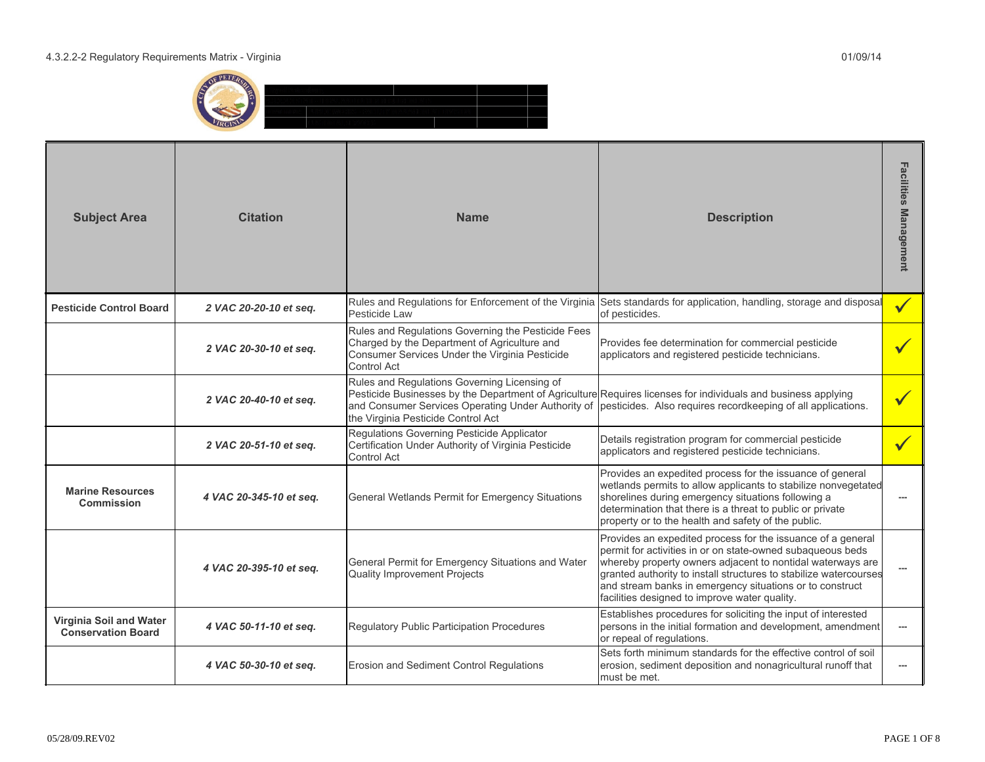

| <b>Subject Area</b>                                  | <b>Citation</b>         | <b>Name</b>                                                                                                                                                         | <b>Description</b>                                                                                                                                                                                                                                                                                                                                                        | Facilities<br><b>Management</b> |
|------------------------------------------------------|-------------------------|---------------------------------------------------------------------------------------------------------------------------------------------------------------------|---------------------------------------------------------------------------------------------------------------------------------------------------------------------------------------------------------------------------------------------------------------------------------------------------------------------------------------------------------------------------|---------------------------------|
| <b>Pesticide Control Board</b>                       | 2 VAC 20-20-10 et seq.  | Pesticide Law                                                                                                                                                       | Rules and Regulations for Enforcement of the Virginia Sets standards for application, handling, storage and disposal<br>of pesticides.                                                                                                                                                                                                                                    | $\checkmark$                    |
|                                                      | 2 VAC 20-30-10 et seq.  | Rules and Regulations Governing the Pesticide Fees<br>Charged by the Department of Agriculture and<br>Consumer Services Under the Virginia Pesticide<br>Control Act | Provides fee determination for commercial pesticide<br>applicators and registered pesticide technicians.                                                                                                                                                                                                                                                                  |                                 |
|                                                      | 2 VAC 20-40-10 et seq.  | Rules and Regulations Governing Licensing of<br>and Consumer Services Operating Under Authority of<br>the Virginia Pesticide Control Act                            | Pesticide Businesses by the Department of Agriculture Requires licenses for individuals and business applying<br>pesticides. Also requires recordkeeping of all applications.                                                                                                                                                                                             |                                 |
|                                                      | 2 VAC 20-51-10 et seq.  | Regulations Governing Pesticide Applicator<br>Certification Under Authority of Virginia Pesticide<br>Control Act                                                    | Details registration program for commercial pesticide<br>applicators and registered pesticide technicians.                                                                                                                                                                                                                                                                |                                 |
| <b>Marine Resources</b><br>Commission                | 4 VAC 20-345-10 et seq. | General Wetlands Permit for Emergency Situations                                                                                                                    | Provides an expedited process for the issuance of general<br>wetlands permits to allow applicants to stabilize nonvegetated<br>shorelines during emergency situations following a<br>determination that there is a threat to public or private<br>property or to the health and safety of the public.                                                                     |                                 |
|                                                      | 4 VAC 20-395-10 et seq. | General Permit for Emergency Situations and Water<br><b>Quality Improvement Projects</b>                                                                            | Provides an expedited process for the issuance of a general<br>permit for activities in or on state-owned subaqueous beds<br>whereby property owners adjacent to nontidal waterways are<br>granted authority to install structures to stabilize watercourses<br>and stream banks in emergency situations or to construct<br>facilities designed to improve water quality. | ---                             |
| Virginia Soil and Water<br><b>Conservation Board</b> | 4 VAC 50-11-10 et seq.  | Regulatory Public Participation Procedures                                                                                                                          | Establishes procedures for soliciting the input of interested<br>persons in the initial formation and development, amendment<br>or repeal of regulations.                                                                                                                                                                                                                 | $\hspace{0.05cm} \ldots$        |
|                                                      | 4 VAC 50-30-10 et seq.  | <b>Erosion and Sediment Control Requlations</b>                                                                                                                     | Sets forth minimum standards for the effective control of soil<br>erosion, sediment deposition and nonagricultural runoff that<br>must be met.                                                                                                                                                                                                                            |                                 |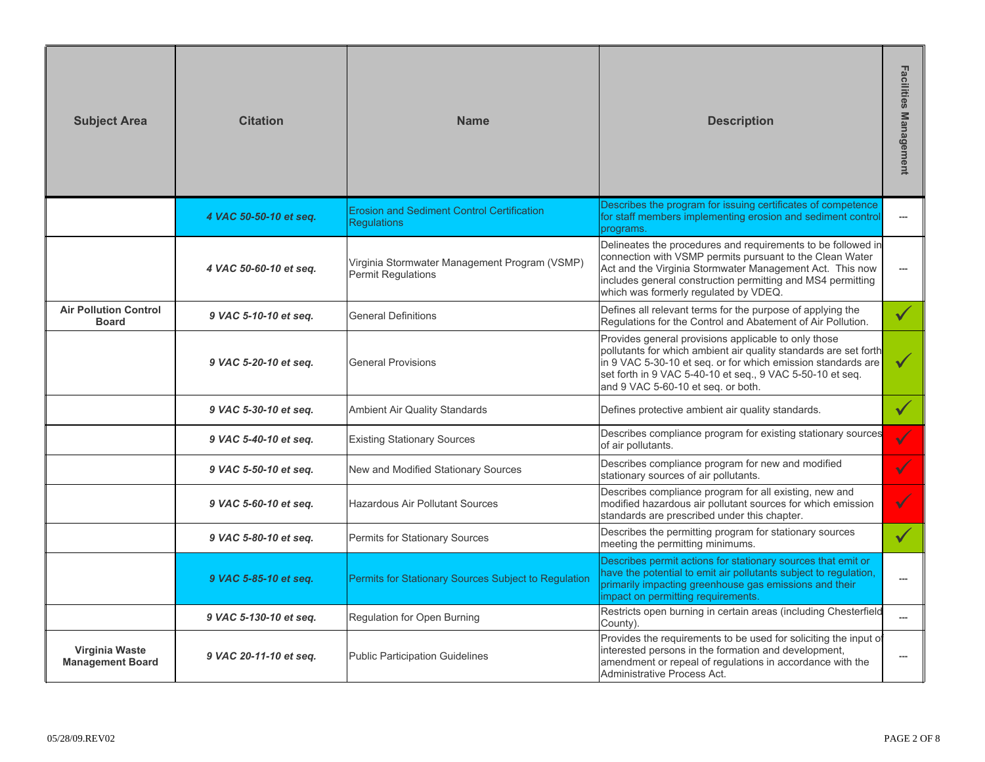| <b>Subject Area</b>                          | <b>Citation</b>                                                                                                                        | <b>Name</b>                                                             | <b>Description</b>                                                                                                                                                                                                                                                                          | Facilities<br><b>Management</b> |
|----------------------------------------------|----------------------------------------------------------------------------------------------------------------------------------------|-------------------------------------------------------------------------|---------------------------------------------------------------------------------------------------------------------------------------------------------------------------------------------------------------------------------------------------------------------------------------------|---------------------------------|
|                                              | 4 VAC 50-50-10 et seq.                                                                                                                 | <b>Erosion and Sediment Control Certification</b><br><b>Regulations</b> | Describes the program for issuing certificates of competence<br>for staff members implementing erosion and sediment control<br>programs.                                                                                                                                                    | $\hspace{0.05cm} \ldots$        |
|                                              | Virginia Stormwater Management Program (VSMP)<br>4 VAC 50-60-10 et seq.<br>Permit Regulations<br>which was formerly regulated by VDEQ. |                                                                         | Delineates the procedures and requirements to be followed in<br>connection with VSMP permits pursuant to the Clean Water<br>Act and the Virginia Stormwater Management Act. This now<br>includes general construction permitting and MS4 permitting                                         | $\hspace{0.05cm} \ldots$        |
| <b>Air Pollution Control</b><br><b>Board</b> | 9 VAC 5-10-10 et seq.                                                                                                                  | <b>General Definitions</b>                                              | Defines all relevant terms for the purpose of applying the<br>Regulations for the Control and Abatement of Air Pollution.                                                                                                                                                                   | $\sqrt{}$                       |
|                                              | 9 VAC 5-20-10 et seq.                                                                                                                  | <b>General Provisions</b>                                               | Provides general provisions applicable to only those<br>pollutants for which ambient air quality standards are set forth<br>in 9 VAC 5-30-10 et seq. or for which emission standards are<br>set forth in 9 VAC 5-40-10 et seq., 9 VAC 5-50-10 et seq.<br>and 9 VAC 5-60-10 et seq. or both. | $\sqrt{}$                       |
|                                              | 9 VAC 5-30-10 et seq.                                                                                                                  | Ambient Air Quality Standards                                           | Defines protective ambient air quality standards.                                                                                                                                                                                                                                           | $\checkmark$                    |
|                                              | 9 VAC 5-40-10 et seq.                                                                                                                  | <b>Existing Stationary Sources</b>                                      | Describes compliance program for existing stationary sources<br>of air pollutants.                                                                                                                                                                                                          |                                 |
|                                              | 9 VAC 5-50-10 et seq.                                                                                                                  | New and Modified Stationary Sources                                     | Describes compliance program for new and modified<br>stationary sources of air pollutants.                                                                                                                                                                                                  |                                 |
|                                              | 9 VAC 5-60-10 et seq.                                                                                                                  | <b>Hazardous Air Pollutant Sources</b>                                  | Describes compliance program for all existing, new and<br>modified hazardous air pollutant sources for which emission<br>standards are prescribed under this chapter.                                                                                                                       |                                 |
|                                              | 9 VAC 5-80-10 et seq.                                                                                                                  | Permits for Stationary Sources                                          | Describes the permitting program for stationary sources<br>meeting the permitting minimums.                                                                                                                                                                                                 |                                 |
|                                              | 9 VAC 5-85-10 et seq.                                                                                                                  | Permits for Stationary Sources Subject to Regulation                    | Describes permit actions for stationary sources that emit or<br>have the potential to emit air pollutants subject to regulation,<br>primarily impacting greenhouse gas emissions and their<br>impact on permitting requirements.                                                            | ---                             |
|                                              | 9 VAC 5-130-10 et seq.                                                                                                                 | Regulation for Open Burning                                             | Restricts open burning in certain areas (including Chesterfield<br>County).                                                                                                                                                                                                                 |                                 |
| Virginia Waste<br><b>Management Board</b>    | 9 VAC 20-11-10 et seq.                                                                                                                 | <b>Public Participation Guidelines</b>                                  | Provides the requirements to be used for soliciting the input of<br>interested persons in the formation and development,<br>amendment or repeal of regulations in accordance with the<br>Administrative Process Act.                                                                        | ---                             |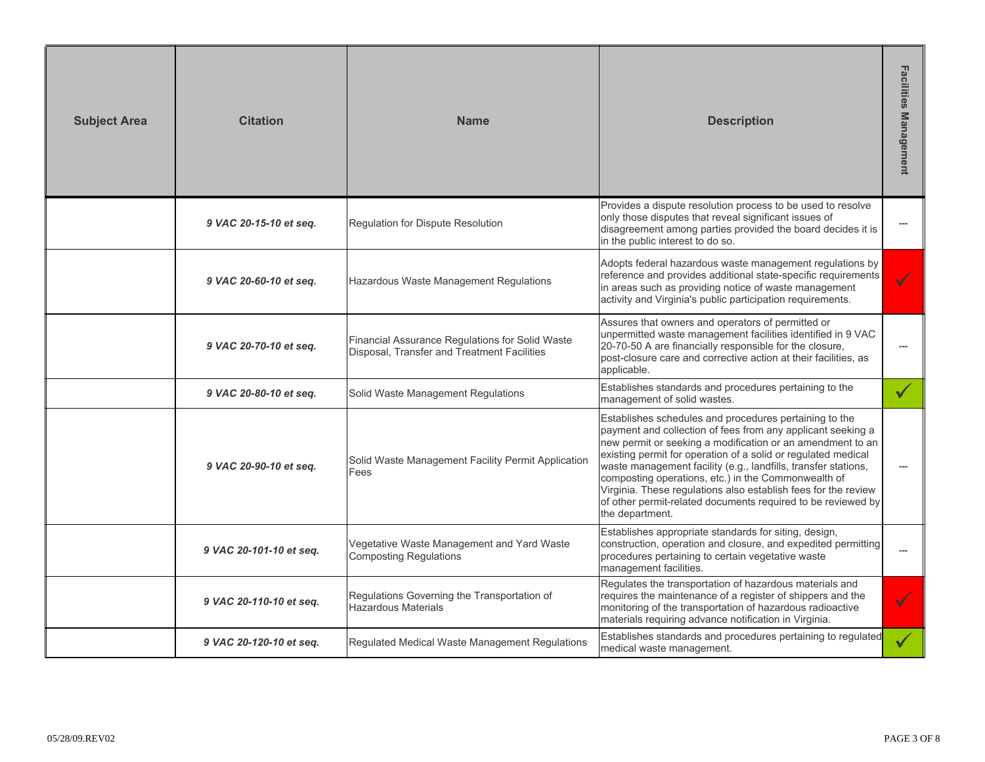| <b>Subject Area</b>     | <b>Citation</b>         | <b>Name</b>                                                                                                                                                                                                                                                                                                                                                                                                                                                                                                                                                                                      | <b>Description</b>                                                                                                                                                                                                                                            | Facilities<br><b>Management</b> |
|-------------------------|-------------------------|--------------------------------------------------------------------------------------------------------------------------------------------------------------------------------------------------------------------------------------------------------------------------------------------------------------------------------------------------------------------------------------------------------------------------------------------------------------------------------------------------------------------------------------------------------------------------------------------------|---------------------------------------------------------------------------------------------------------------------------------------------------------------------------------------------------------------------------------------------------------------|---------------------------------|
|                         | 9 VAC 20-15-10 et seq.  | <b>Regulation for Dispute Resolution</b>                                                                                                                                                                                                                                                                                                                                                                                                                                                                                                                                                         | Provides a dispute resolution process to be used to resolve<br>only those disputes that reveal significant issues of<br>disagreement among parties provided the board decides it is<br>in the public interest to do so.                                       | ---                             |
|                         | 9 VAC 20-60-10 et seq.  | Hazardous Waste Management Regulations                                                                                                                                                                                                                                                                                                                                                                                                                                                                                                                                                           | Adopts federal hazardous waste management regulations by<br>reference and provides additional state-specific requirements<br>in areas such as providing notice of waste management<br>activity and Virginia's public participation requirements.              |                                 |
|                         | 9 VAC 20-70-10 et seq.  | Financial Assurance Regulations for Solid Waste<br>Disposal, Transfer and Treatment Facilities                                                                                                                                                                                                                                                                                                                                                                                                                                                                                                   | Assures that owners and operators of permitted or<br>unpermitted waste management facilities identified in 9 VAC<br>20-70-50 A are financially responsible for the closure,<br>post-closure care and corrective action at their facilities, as<br>applicable. | $\overline{a}$                  |
|                         | 9 VAC 20-80-10 et seq.  | Solid Waste Management Regulations                                                                                                                                                                                                                                                                                                                                                                                                                                                                                                                                                               | Establishes standards and procedures pertaining to the<br>management of solid wastes.                                                                                                                                                                         |                                 |
|                         | 9 VAC 20-90-10 et sea.  | Establishes schedules and procedures pertaining to the<br>payment and collection of fees from any applicant seeking a<br>new permit or seeking a modification or an amendment to an<br>existing permit for operation of a solid or regulated medical<br>Solid Waste Management Facility Permit Application<br>waste management facility (e.g., landfills, transfer stations,<br>Fees<br>composting operations, etc.) in the Commonwealth of<br>Virginia. These regulations also establish fees for the review<br>of other permit-related documents required to be reviewed by<br>the department. |                                                                                                                                                                                                                                                               |                                 |
| 9 VAC 20-101-10 et seq. |                         | Vegetative Waste Management and Yard Waste<br><b>Composting Regulations</b>                                                                                                                                                                                                                                                                                                                                                                                                                                                                                                                      | Establishes appropriate standards for siting, design,<br>construction, operation and closure, and expedited permitting<br>procedures pertaining to certain vegetative waste<br>management facilities.                                                         | $\overline{a}$                  |
|                         | 9 VAC 20-110-10 et seq. | Regulations Governing the Transportation of<br><b>Hazardous Materials</b>                                                                                                                                                                                                                                                                                                                                                                                                                                                                                                                        | Regulates the transportation of hazardous materials and<br>requires the maintenance of a register of shippers and the<br>monitoring of the transportation of hazardous radioactive<br>materials requiring advance notification in Virginia.                   |                                 |
|                         | 9 VAC 20-120-10 et seq. | Regulated Medical Waste Management Regulations                                                                                                                                                                                                                                                                                                                                                                                                                                                                                                                                                   | Establishes standards and procedures pertaining to regulated<br>medical waste management.                                                                                                                                                                     |                                 |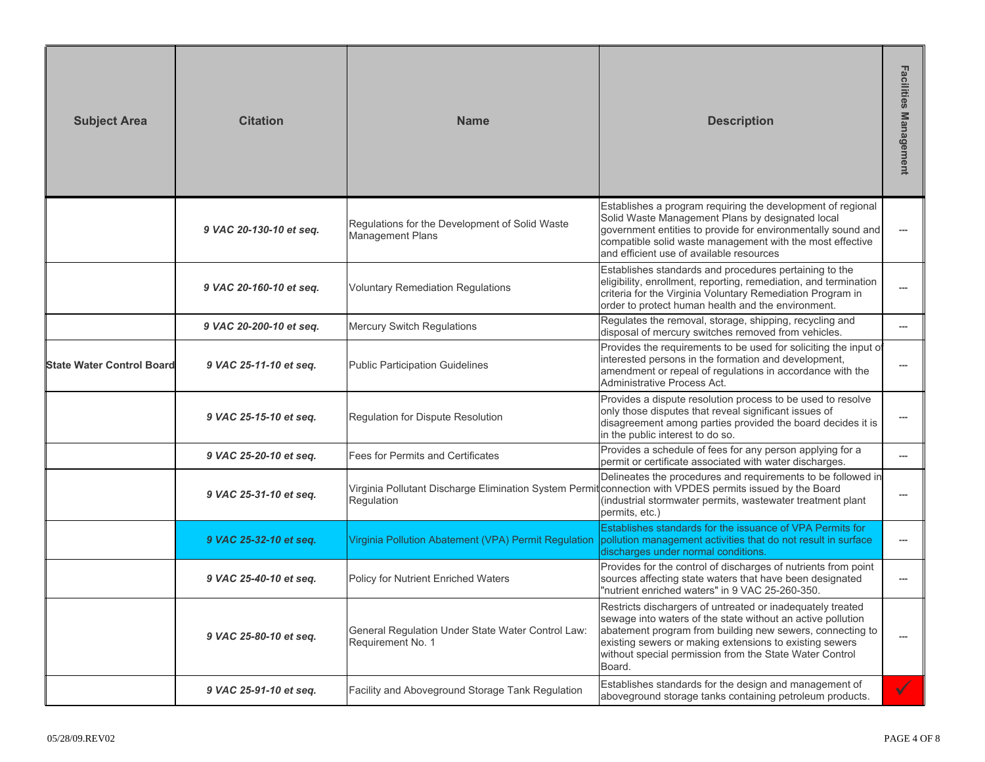| <b>Subject Area</b>       | <b>Citation</b>         | <b>Name</b>                                                                                                            | <b>Description</b>                                                                                                                                                                                                                                                                                                     | Facilities<br><b>Management</b> |
|---------------------------|-------------------------|------------------------------------------------------------------------------------------------------------------------|------------------------------------------------------------------------------------------------------------------------------------------------------------------------------------------------------------------------------------------------------------------------------------------------------------------------|---------------------------------|
|                           | 9 VAC 20-130-10 et seq. | Regulations for the Development of Solid Waste<br><b>Management Plans</b>                                              | Establishes a program requiring the development of regional<br>Solid Waste Management Plans by designated local<br>government entities to provide for environmentally sound and<br>compatible solid waste management with the most effective<br>and efficient use of available resources                               | ---                             |
|                           | 9 VAC 20-160-10 et seq. | <b>Voluntary Remediation Regulations</b>                                                                               | Establishes standards and procedures pertaining to the<br>eligibility, enrollment, reporting, remediation, and termination<br>criteria for the Virginia Voluntary Remediation Program in<br>order to protect human health and the environment.                                                                         |                                 |
|                           | 9 VAC 20-200-10 et seq. | <b>Mercury Switch Regulations</b>                                                                                      | Regulates the removal, storage, shipping, recycling and<br>disposal of mercury switches removed from vehicles.                                                                                                                                                                                                         |                                 |
| State Water Control Board | 9 VAC 25-11-10 et seq.  | <b>Public Participation Guidelines</b>                                                                                 | Provides the requirements to be used for soliciting the input of<br>interested persons in the formation and development,<br>amendment or repeal of regulations in accordance with the<br>Administrative Process Act.                                                                                                   |                                 |
|                           | 9 VAC 25-15-10 et seq.  | Regulation for Dispute Resolution                                                                                      | Provides a dispute resolution process to be used to resolve<br>only those disputes that reveal significant issues of<br>disagreement among parties provided the board decides it is<br>in the public interest to do so.                                                                                                |                                 |
|                           | 9 VAC 25-20-10 et seq.  | Fees for Permits and Certificates                                                                                      | Provides a schedule of fees for any person applying for a<br>permit or certificate associated with water discharges.                                                                                                                                                                                                   | $\overline{a}$                  |
|                           | 9 VAC 25-31-10 et seq.  | Virginia Pollutant Discharge Elimination System Permit connection with VPDES permits issued by the Board<br>Regulation | Delineates the procedures and requirements to be followed in<br>(industrial stormwater permits, wastewater treatment plant<br>permits, etc.)                                                                                                                                                                           |                                 |
|                           | 9 VAC 25-32-10 et seq.  | Virginia Pollution Abatement (VPA) Permit Regulation                                                                   | Establishes standards for the issuance of VPA Permits for<br>pollution management activities that do not result in surface<br>discharges under normal conditions.                                                                                                                                                      | ---                             |
|                           | 9 VAC 25-40-10 et seq.  | Policy for Nutrient Enriched Waters                                                                                    | Provides for the control of discharges of nutrients from point<br>sources affecting state waters that have been designated<br>"nutrient enriched waters" in 9 VAC 25-260-350.                                                                                                                                          |                                 |
|                           | 9 VAC 25-80-10 et seq.  | General Regulation Under State Water Control Law:<br>Requirement No. 1                                                 | Restricts dischargers of untreated or inadequately treated<br>sewage into waters of the state without an active pollution<br>abatement program from building new sewers, connecting to<br>existing sewers or making extensions to existing sewers<br>without special permission from the State Water Control<br>Board. | $\hspace{0.05cm} \ldots$        |
|                           | 9 VAC 25-91-10 et seq.  | Facility and Aboveground Storage Tank Regulation                                                                       | Establishes standards for the design and management of<br>aboveground storage tanks containing petroleum products.                                                                                                                                                                                                     | $\checkmark$                    |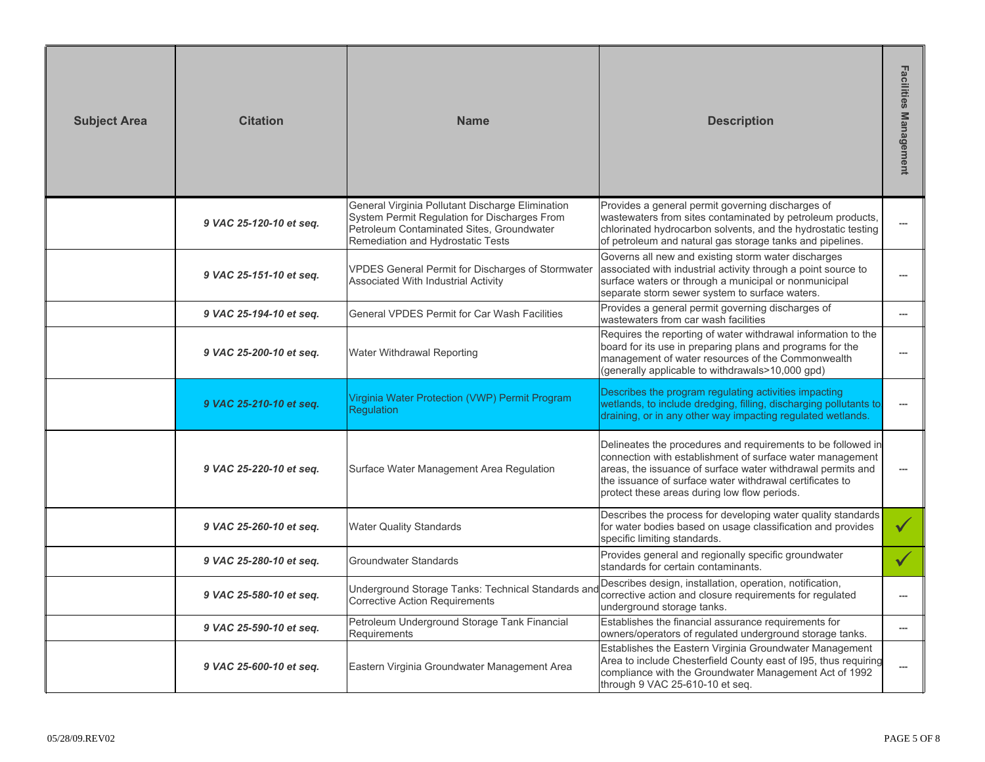| <b>Subject Area</b> | <b>Citation</b>         | <b>Name</b>                                                                                                                                                                        | <b>Description</b>                                                                                                                                                                                                                                                                                   | <b>Facilities Management</b> |
|---------------------|-------------------------|------------------------------------------------------------------------------------------------------------------------------------------------------------------------------------|------------------------------------------------------------------------------------------------------------------------------------------------------------------------------------------------------------------------------------------------------------------------------------------------------|------------------------------|
|                     | 9 VAC 25-120-10 et seq. | General Virginia Pollutant Discharge Elimination<br>System Permit Regulation for Discharges From<br>Petroleum Contaminated Sites, Groundwater<br>Remediation and Hydrostatic Tests | Provides a general permit governing discharges of<br>wastewaters from sites contaminated by petroleum products,<br>chlorinated hydrocarbon solvents, and the hydrostatic testing<br>of petroleum and natural gas storage tanks and pipelines.                                                        | $\overline{a}$               |
|                     | 9 VAC 25-151-10 et seq. | VPDES General Permit for Discharges of Stormwater<br>Associated With Industrial Activity                                                                                           | Governs all new and existing storm water discharges<br>associated with industrial activity through a point source to<br>surface waters or through a municipal or nonmunicipal<br>separate storm sewer system to surface waters.                                                                      |                              |
|                     | 9 VAC 25-194-10 et seq. | General VPDES Permit for Car Wash Facilities                                                                                                                                       | Provides a general permit governing discharges of<br>wastewaters from car wash facilities                                                                                                                                                                                                            | $\overline{a}$               |
|                     | 9 VAC 25-200-10 et seq. | Water Withdrawal Reporting                                                                                                                                                         | Requires the reporting of water withdrawal information to the<br>board for its use in preparing plans and programs for the<br>management of water resources of the Commonwealth<br>(generally applicable to withdrawals>10,000 gpd)                                                                  | $\overline{a}$               |
|                     | 9 VAC 25-210-10 et seq. | Virginia Water Protection (VWP) Permit Program<br><b>Requlation</b>                                                                                                                | Describes the program regulating activities impacting<br>wetlands, to include dredging, filling, discharging pollutants to<br>draining, or in any other way impacting regulated wetlands.                                                                                                            |                              |
|                     | 9 VAC 25-220-10 et seq. | Surface Water Management Area Regulation                                                                                                                                           | Delineates the procedures and requirements to be followed in<br>connection with establishment of surface water management<br>areas, the issuance of surface water withdrawal permits and<br>the issuance of surface water withdrawal certificates to<br>protect these areas during low flow periods. | $\overline{a}$               |
|                     | 9 VAC 25-260-10 et seq. | <b>Water Quality Standards</b>                                                                                                                                                     | Describes the process for developing water quality standards<br>for water bodies based on usage classification and provides<br>specific limiting standards.                                                                                                                                          | $\checkmark$                 |
|                     | 9 VAC 25-280-10 et seq. | Groundwater Standards                                                                                                                                                              | Provides general and regionally specific groundwater<br>standards for certain contaminants.                                                                                                                                                                                                          | $\checkmark$                 |
|                     | 9 VAC 25-580-10 et seq. | Underground Storage Tanks: Technical Standards and<br><b>Corrective Action Requirements</b>                                                                                        | Describes design, installation, operation, notification,<br>corrective action and closure requirements for regulated<br>underground storage tanks.                                                                                                                                                   | $\overline{a}$               |
|                     | 9 VAC 25-590-10 et seq. | Petroleum Underground Storage Tank Financial<br>Requirements                                                                                                                       | Establishes the financial assurance requirements for<br>owners/operators of regulated underground storage tanks.                                                                                                                                                                                     | ---                          |
|                     | 9 VAC 25-600-10 et seq. | Eastern Virginia Groundwater Management Area                                                                                                                                       | Establishes the Eastern Virginia Groundwater Management<br>Area to include Chesterfield County east of I95, thus requiring<br>compliance with the Groundwater Management Act of 1992<br>through 9 VAC 25-610-10 et seq.                                                                              | ---                          |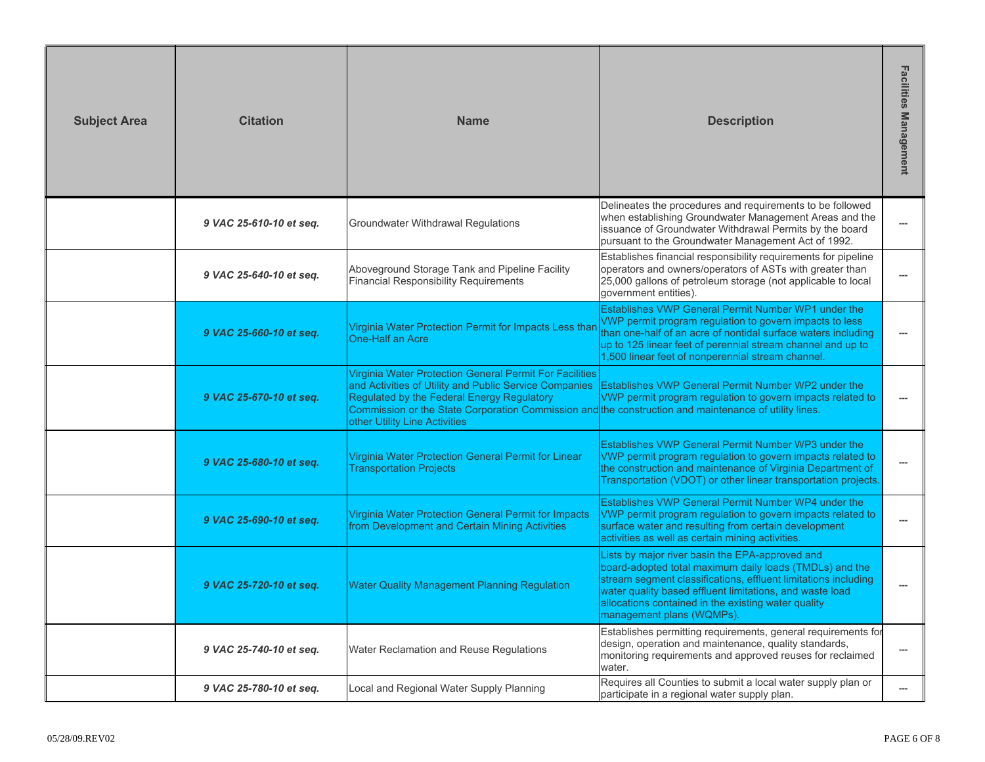| <b>Subject Area</b> | <b>Citation</b>         | <b>Name</b>                                                                                                                                                                                                                                                                                                           | <b>Description</b>                                                                                                                                                                                                                                                                                                           | <b>Facilities</b><br><b>Management</b> |
|---------------------|-------------------------|-----------------------------------------------------------------------------------------------------------------------------------------------------------------------------------------------------------------------------------------------------------------------------------------------------------------------|------------------------------------------------------------------------------------------------------------------------------------------------------------------------------------------------------------------------------------------------------------------------------------------------------------------------------|----------------------------------------|
|                     | 9 VAC 25-610-10 et seq. | Groundwater Withdrawal Regulations                                                                                                                                                                                                                                                                                    | Delineates the procedures and requirements to be followed<br>when establishing Groundwater Management Areas and the<br>issuance of Groundwater Withdrawal Permits by the board<br>pursuant to the Groundwater Management Act of 1992.                                                                                        |                                        |
|                     | 9 VAC 25-640-10 et seq. | Establishes financial responsibility requirements for pipeline<br>operators and owners/operators of ASTs with greater than<br>Aboveground Storage Tank and Pipeline Facility<br><b>Financial Responsibility Requirements</b><br>25,000 gallons of petroleum storage (not applicable to local<br>government entities). |                                                                                                                                                                                                                                                                                                                              |                                        |
|                     | 9 VAC 25-660-10 et seq. | Virginia Water Protection Permit for Impacts Less than<br>One-Half an Acre                                                                                                                                                                                                                                            | Establishes VWP General Permit Number WP1 under the<br>VWP permit program regulation to govern impacts to less<br>than one-half of an acre of nontidal surface waters including<br>up to 125 linear feet of perennial stream channel and up to<br>1,500 linear feet of nonperennial stream channel.                          |                                        |
|                     | 9 VAC 25-670-10 et seq. | Virginia Water Protection General Permit For Facilities<br>and Activities of Utility and Public Service Companies<br>Regulated by the Federal Energy Regulatory<br>Commission or the State Corporation Commission and the construction and maintenance of utility lines.<br>other Utility Line Activities             | Establishes VWP General Permit Number WP2 under the<br>VWP permit program regulation to govern impacts related to                                                                                                                                                                                                            |                                        |
|                     | 9 VAC 25-680-10 et seq. | Virginia Water Protection General Permit for Linear<br><b>Transportation Projects</b>                                                                                                                                                                                                                                 | Establishes VWP General Permit Number WP3 under the<br>VWP permit program regulation to govern impacts related to<br>the construction and maintenance of Virginia Department of<br>Transportation (VDOT) or other linear transportation projects.                                                                            |                                        |
|                     | 9 VAC 25-690-10 et seq. | Virginia Water Protection General Permit for Impacts<br>from Development and Certain Mining Activities                                                                                                                                                                                                                | Establishes VWP General Permit Number WP4 under the<br>VWP permit program regulation to govern impacts related to<br>surface water and resulting from certain development<br>activities as well as certain mining activities.                                                                                                |                                        |
|                     | 9 VAC 25-720-10 et seq. | <b>Water Quality Management Planning Regulation</b>                                                                                                                                                                                                                                                                   | Lists by major river basin the EPA-approved and<br>board-adopted total maximum daily loads (TMDLs) and the<br>stream segment classifications, effluent limitations including<br>water quality based effluent limitations, and waste load<br>allocations contained in the existing water quality<br>management plans (WQMPs). |                                        |
|                     | 9 VAC 25-740-10 et seq. | Water Reclamation and Reuse Regulations                                                                                                                                                                                                                                                                               | Establishes permitting requirements, general requirements for<br>design, operation and maintenance, quality standards,<br>monitoring requirements and approved reuses for reclaimed<br>water.                                                                                                                                |                                        |
|                     | 9 VAC 25-780-10 et seq. | Local and Regional Water Supply Planning                                                                                                                                                                                                                                                                              | Requires all Counties to submit a local water supply plan or<br>participate in a regional water supply plan.                                                                                                                                                                                                                 | ---                                    |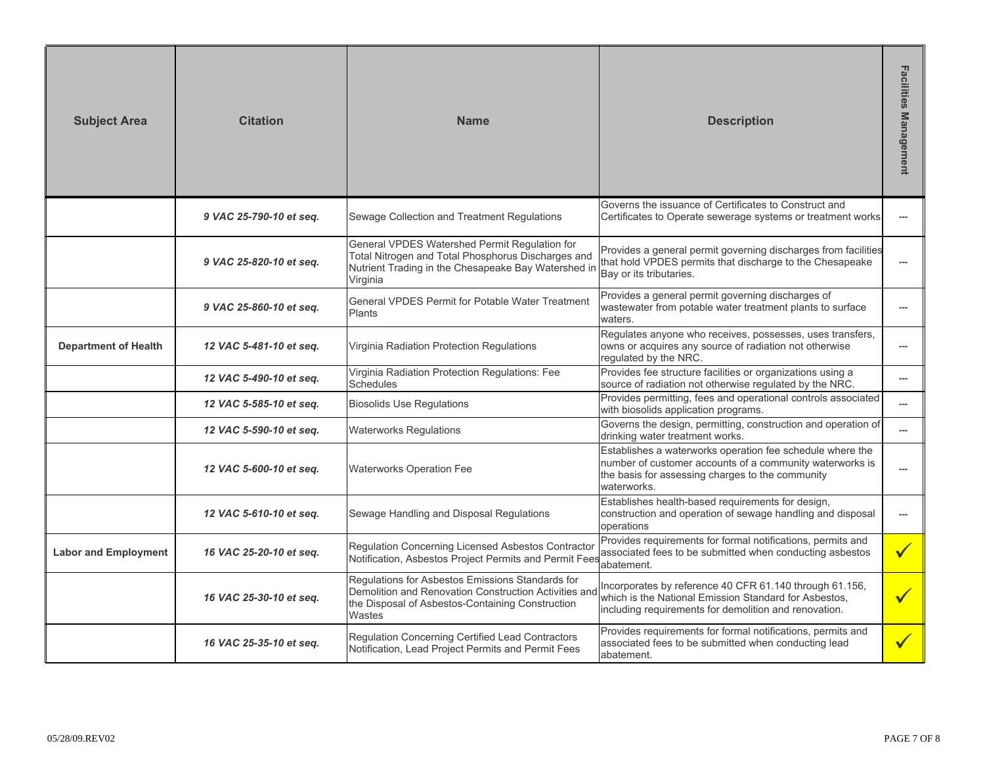| <b>Subject Area</b>         | <b>Citation</b>         | <b>Name</b>                                                                                                                                                             | <b>Description</b>                                                                                                                                                                       | Facilities<br><b>Management</b> |
|-----------------------------|-------------------------|-------------------------------------------------------------------------------------------------------------------------------------------------------------------------|------------------------------------------------------------------------------------------------------------------------------------------------------------------------------------------|---------------------------------|
|                             | 9 VAC 25-790-10 et seq. | Sewage Collection and Treatment Regulations                                                                                                                             | Governs the issuance of Certificates to Construct and<br>Certificates to Operate sewerage systems or treatment works.                                                                    | ---                             |
|                             | 9 VAC 25-820-10 et seq. | General VPDES Watershed Permit Regulation for<br>Total Nitrogen and Total Phosphorus Discharges and<br>Nutrient Trading in the Chesapeake Bay Watershed in<br>Virginia  | Provides a general permit governing discharges from facilities<br>that hold VPDES permits that discharge to the Chesapeake<br>Bay or its tributaries.                                    | $\overline{a}$                  |
|                             | 9 VAC 25-860-10 et seq. | General VPDES Permit for Potable Water Treatment<br>Plants                                                                                                              | Provides a general permit governing discharges of<br>wastewater from potable water treatment plants to surface<br>waters.                                                                | $\overline{a}$                  |
| <b>Department of Health</b> | 12 VAC 5-481-10 et seq. | Virginia Radiation Protection Regulations                                                                                                                               | Regulates anyone who receives, possesses, uses transfers,<br>owns or acquires any source of radiation not otherwise<br>regulated by the NRC.                                             | $\overline{a}$                  |
|                             | 12 VAC 5-490-10 et seq. | Virginia Radiation Protection Regulations: Fee<br><b>Schedules</b>                                                                                                      | Provides fee structure facilities or organizations using a<br>source of radiation not otherwise regulated by the NRC.                                                                    | $\overline{a}$                  |
|                             | 12 VAC 5-585-10 et seq. | <b>Biosolids Use Regulations</b>                                                                                                                                        | Provides permitting, fees and operational controls associated<br>with biosolids application programs.                                                                                    | ---                             |
|                             | 12 VAC 5-590-10 et seq. | <b>Waterworks Regulations</b>                                                                                                                                           | Governs the design, permitting, construction and operation of<br>drinking water treatment works.                                                                                         | $\overline{a}$                  |
|                             | 12 VAC 5-600-10 et seq. | <b>Waterworks Operation Fee</b>                                                                                                                                         | Establishes a waterworks operation fee schedule where the<br>number of customer accounts of a community waterworks is<br>the basis for assessing charges to the community<br>waterworks. | $\overline{a}$                  |
|                             | 12 VAC 5-610-10 et seq. | Sewage Handling and Disposal Regulations                                                                                                                                | Establishes health-based requirements for design,<br>construction and operation of sewage handling and disposal<br>operations                                                            | $\sim$                          |
| <b>Labor and Employment</b> | 16 VAC 25-20-10 et seq. | Regulation Concerning Licensed Asbestos Contractor<br>Notification, Asbestos Project Permits and Permit Fees                                                            | Provides requirements for formal notifications, permits and<br>associated fees to be submitted when conducting asbestos<br>abatement.                                                    |                                 |
|                             | 16 VAC 25-30-10 et seq. | Regulations for Asbestos Emissions Standards for<br>Demolition and Renovation Construction Activities and<br>the Disposal of Asbestos-Containing Construction<br>Wastes | Incorporates by reference 40 CFR 61.140 through 61.156,<br>which is the National Emission Standard for Asbestos,<br>including requirements for demolition and renovation.                |                                 |
|                             | 16 VAC 25-35-10 et seq. | Regulation Concerning Certified Lead Contractors<br>Notification, Lead Project Permits and Permit Fees                                                                  | Provides requirements for formal notifications, permits and<br>associated fees to be submitted when conducting lead<br>abatement.                                                        |                                 |